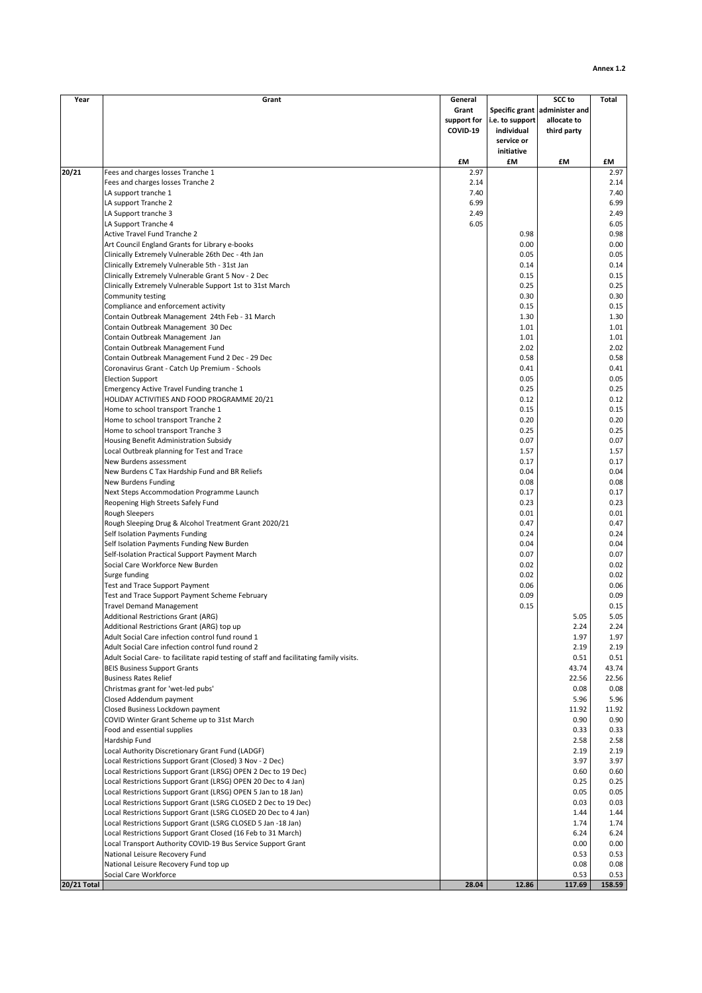| Year               | Grant                                                                                   | General     |                 | <b>SCC to</b>                 | <b>Total</b> |
|--------------------|-----------------------------------------------------------------------------------------|-------------|-----------------|-------------------------------|--------------|
|                    |                                                                                         | Grant       |                 | Specific grant administer and |              |
|                    |                                                                                         | support for | i.e. to support | allocate to                   |              |
|                    |                                                                                         | COVID-19    | individual      | third party                   |              |
|                    |                                                                                         |             | service or      |                               |              |
|                    |                                                                                         |             | initiative      |                               |              |
|                    |                                                                                         | £M          | £M              | £M                            | £M           |
| 20/21              | Fees and charges losses Tranche 1                                                       | 2.97        |                 |                               | 2.97         |
|                    | Fees and charges losses Tranche 2                                                       | 2.14        |                 |                               | 2.14         |
|                    | LA support tranche 1                                                                    | 7.40        |                 |                               | 7.40         |
|                    | LA support Tranche 2                                                                    | 6.99        |                 |                               | 6.99         |
|                    | LA Support tranche 3                                                                    | 2.49        |                 |                               | 2.49         |
|                    |                                                                                         | 6.05        |                 |                               | 6.05         |
|                    | LA Support Tranche 4                                                                    |             |                 |                               |              |
|                    | Active Travel Fund Tranche 2                                                            |             | 0.98            |                               | 0.98         |
|                    | Art Council England Grants for Library e-books                                          |             | 0.00            |                               | 0.00         |
|                    | Clinically Extremely Vulnerable 26th Dec - 4th Jan                                      |             | 0.05            |                               | 0.05         |
|                    | Clinically Extremely Vulnerable 5th - 31st Jan                                          |             | 0.14            |                               | 0.14         |
|                    | Clinically Extremely Vulnerable Grant 5 Nov - 2 Dec                                     |             | 0.15            |                               | 0.15         |
|                    | Clinically Extremely Vulnerable Support 1st to 31st March                               |             | 0.25            |                               | 0.25         |
|                    | Community testing                                                                       |             | 0.30            |                               | 0.30         |
|                    | Compliance and enforcement activity                                                     |             | 0.15            |                               | 0.15         |
|                    | Contain Outbreak Management 24th Feb - 31 March                                         |             | 1.30            |                               | 1.30         |
|                    | Contain Outbreak Management 30 Dec                                                      |             | 1.01            |                               | 1.01         |
|                    | Contain Outbreak Management Jan                                                         |             | 1.01            |                               | 1.01         |
|                    | Contain Outbreak Management Fund                                                        |             | 2.02            |                               | 2.02         |
|                    | Contain Outbreak Management Fund 2 Dec - 29 Dec                                         |             | 0.58            |                               | 0.58         |
|                    | Coronavirus Grant - Catch Up Premium - Schools                                          |             | 0.41            |                               | 0.41         |
|                    | <b>Election Support</b>                                                                 |             | 0.05            |                               | 0.05         |
|                    | Emergency Active Travel Funding tranche 1                                               |             | 0.25            |                               | 0.25         |
|                    | HOLIDAY ACTIVITIES AND FOOD PROGRAMME 20/21                                             |             | 0.12            |                               | 0.12         |
|                    | Home to school transport Tranche 1                                                      |             | 0.15            |                               | 0.15         |
|                    | Home to school transport Tranche 2                                                      |             | 0.20            |                               | 0.20         |
|                    | Home to school transport Tranche 3                                                      |             | 0.25            |                               | 0.25         |
|                    | Housing Benefit Administration Subsidy                                                  |             | 0.07            |                               | 0.07         |
|                    | Local Outbreak planning for Test and Trace                                              |             | 1.57            |                               | 1.57         |
|                    | New Burdens assessment                                                                  |             | 0.17            |                               | 0.17         |
|                    |                                                                                         |             |                 |                               |              |
|                    | New Burdens C Tax Hardship Fund and BR Reliefs                                          |             | 0.04            |                               | 0.04         |
|                    | New Burdens Funding                                                                     |             | 0.08            |                               | 0.08         |
|                    | Next Steps Accommodation Programme Launch                                               |             | 0.17            |                               | 0.17         |
|                    | Reopening High Streets Safely Fund                                                      |             | 0.23            |                               | 0.23         |
|                    | <b>Rough Sleepers</b>                                                                   |             | 0.01            |                               | 0.01         |
|                    | Rough Sleeping Drug & Alcohol Treatment Grant 2020/21                                   |             | 0.47            |                               | 0.47         |
|                    | Self Isolation Payments Funding                                                         |             | 0.24            |                               | 0.24         |
|                    | Self Isolation Payments Funding New Burden                                              |             | 0.04            |                               | 0.04         |
|                    | Self-Isolation Practical Support Payment March                                          |             | 0.07            |                               | 0.07         |
|                    | Social Care Workforce New Burden                                                        |             | 0.02            |                               | 0.02         |
|                    | Surge funding                                                                           |             | 0.02            |                               | 0.02         |
|                    | Test and Trace Support Payment                                                          |             | 0.06            |                               | 0.06         |
|                    | Test and Trace Support Payment Scheme February                                          |             | 0.09            |                               | 0.09         |
|                    | <b>Travel Demand Management</b>                                                         |             | 0.15            |                               | 0.15         |
|                    | <b>Additional Restrictions Grant (ARG)</b>                                              |             |                 | 5.05                          | 5.05         |
|                    | Additional Restrictions Grant (ARG) top up                                              |             |                 | 2.24                          | 2.24         |
|                    | Adult Social Care infection control fund round 1                                        |             |                 | 1.97                          | 1.97         |
|                    | Adult Social Care infection control fund round 2                                        |             |                 | 2.19                          | 2.19         |
|                    | Adult Social Care- to facilitate rapid testing of staff and facilitating family visits. |             |                 | 0.51                          | 0.51         |
|                    | <b>BEIS Business Support Grants</b>                                                     |             |                 | 43.74                         | 43.74        |
|                    | <b>Business Rates Relief</b>                                                            |             |                 | 22.56                         | 22.56        |
|                    | Christmas grant for 'wet-led pubs'                                                      |             |                 | 0.08                          | 0.08         |
|                    | Closed Addendum payment                                                                 |             |                 | 5.96                          | 5.96         |
|                    | Closed Business Lockdown payment                                                        |             |                 | 11.92                         | 11.92        |
|                    | COVID Winter Grant Scheme up to 31st March                                              |             |                 | 0.90                          | 0.90         |
|                    | Food and essential supplies                                                             |             |                 | 0.33                          | 0.33         |
|                    | Hardship Fund                                                                           |             |                 | 2.58                          | 2.58         |
|                    | Local Authority Discretionary Grant Fund (LADGF)                                        |             |                 | 2.19                          | 2.19         |
|                    | Local Restrictions Support Grant (Closed) 3 Nov - 2 Dec)                                |             |                 | 3.97                          | 3.97         |
|                    | Local Restrictions Support Grant (LRSG) OPEN 2 Dec to 19 Dec)                           |             |                 | 0.60                          | 0.60         |
|                    | Local Restrictions Support Grant (LRSG) OPEN 20 Dec to 4 Jan)                           |             |                 | 0.25                          | 0.25         |
|                    |                                                                                         |             |                 |                               |              |
|                    | Local Restrictions Support Grant (LRSG) OPEN 5 Jan to 18 Jan)                           |             |                 | 0.05                          | 0.05         |
|                    | Local Restrictions Support Grant (LSRG CLOSED 2 Dec to 19 Dec)                          |             |                 | 0.03                          | 0.03         |
|                    | Local Restrictions Support Grant (LSRG CLOSED 20 Dec to 4 Jan)                          |             |                 | 1.44                          | 1.44         |
|                    | Local Restrictions Support Grant (LSRG CLOSED 5 Jan -18 Jan)                            |             |                 | 1.74                          | 1.74         |
|                    | Local Restrictions Support Grant Closed (16 Feb to 31 March)                            |             |                 | 6.24                          | 6.24         |
|                    | Local Transport Authority COVID-19 Bus Service Support Grant                            |             |                 | 0.00                          | 0.00         |
|                    | National Leisure Recovery Fund                                                          |             |                 | 0.53                          | 0.53         |
|                    | National Leisure Recovery Fund top up                                                   |             |                 | 0.08                          | 0.08         |
|                    | Social Care Workforce                                                                   |             |                 | 0.53                          | 0.53         |
| <b>20/21 Total</b> |                                                                                         | 28.04       | 12.86           | 117.69                        | 158.59       |